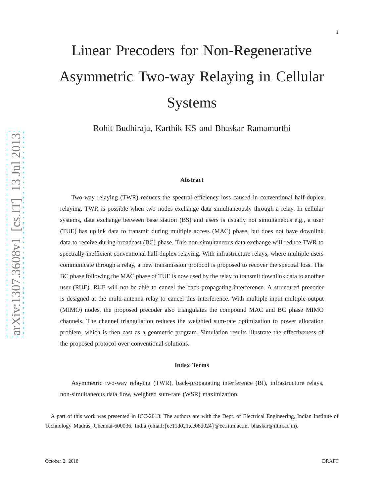# Linear Precoders for Non-Regenerative Asymmetric Two-way Relaying in Cellular Systems

Rohit Budhiraja, Karthik KS and Bhaskar Ramamurthi

#### **Abstract**

Two-way relaying (TWR) reduces the spectral-efficiency loss caused in conventional half-duplex relaying. TWR is possible when two nodes exchange data simultaneously through a relay. In cellular systems, data exchange between base station (BS) and users is usually not simultaneous e.g., a user (TUE) has uplink data to transmit during multiple access (MAC) phase, but does not have downlink data to receive during broadcast (BC) phase. This non-simultaneous data exchange will reduce TWR to spectrally-inefficient conventional half-duplex relaying. With infrastructure relays, where multiple users communicate through a relay, a new transmission protocol is proposed to recover the spectral loss. The BC phase following the MAC phase of TUE is now used by the relay to transmit downlink data to another user (RUE). RUE will not be able to cancel the back-propagating interference. A structured precoder is designed at the multi-antenna relay to cancel this interference. With multiple-input multiple-output (MIMO) nodes, the proposed precoder also triangulates the compound MAC and BC phase MIMO channels. The channel triangulation reduces the weighted sum-rate optimization to power allocation problem, which is then cast as a geometric program. Simulation results illustrate the effectiveness of the proposed protocol over conventional solutions.

#### **Index Terms**

Asymmetric two-way relaying (TWR), back-propagating interference (BI), infrastructure relays, non-simultaneous data flow, weighted sum-rate (WSR) maximization.

A part of this work was presented in ICC-2013. The authors are with the Dept. of Electrical Engineering, Indian Institute of Technology Madras, Chennai-600036, India (email: {ee11d021,ee08d024 }@ee.iitm.ac.in, bhaskar@iitm.ac.in).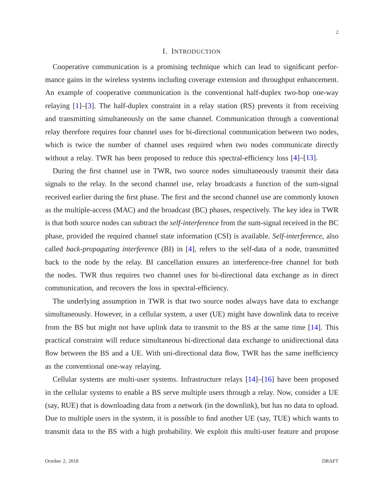## I. INTRODUCTION

Cooperative communication is a promising technique which can lead to significant performance gains in the wireless systems including coverage extension and throughput enhancement. An example of cooperative communication is the conventional half-duplex two-hop one-way relaying [\[1\]](#page-27-0)–[\[3\]](#page-27-1). The half-duplex constraint in a relay station (RS) prevents it from receiving and transmitting simultaneously on the same channel. Communication through a conventional relay therefore requires four channel uses for bi-directional communication between two nodes, which is twice the number of channel uses required when two nodes communicate directly without a relay. TWR has been proposed to reduce this spectral-efficiency loss [\[4\]](#page-27-2)–[\[13\]](#page-28-0).

During the first channel use in TWR, two source nodes simultaneously transmit their data signals to the relay. In the second channel use, relay broadcasts a function of the sum-signal received earlier during the first phase. The first and the second channel use are commonly known as the multiple-access (MAC) and the broadcast (BC) phases, respectively. The key idea in TWR is that both source nodes can subtract the *self-interference* from the sum-signal received in the BC phase, provided the required channel state information (CSI) is available. *Self-interference*, also called *back-propagating interference* (BI) in [\[4\]](#page-27-2), refers to the self-data of a node, transmitted back to the node by the relay. BI cancellation ensures an interference-free channel for both the nodes. TWR thus requires two channel uses for bi-directional data exchange as in direct communication, and recovers the loss in spectral-efficiency.

The underlying assumption in TWR is that two source nodes always have data to exchange simultaneously. However, in a cellular system, a user (UE) might have downlink data to receive from the BS but might not have uplink data to transmit to the BS at the same time [\[14\]](#page-28-1). This practical constraint will reduce simultaneous bi-directional data exchange to unidirectional data flow between the BS and a UE. With uni-directional data flow, TWR has the same inefficiency as the conventional one-way relaying.

Cellular systems are multi-user systems. Infrastructure relays [\[14\]](#page-28-1)–[\[16\]](#page-28-2) have been proposed in the cellular systems to enable a BS serve multiple users through a relay. Now, consider a UE (say, RUE) that is downloading data from a network (in the downlink), but has no data to upload. Due to multiple users in the system, it is possible to find another UE (say, TUE) which wants to transmit data to the BS with a high probability. We exploit this multi-user feature and propose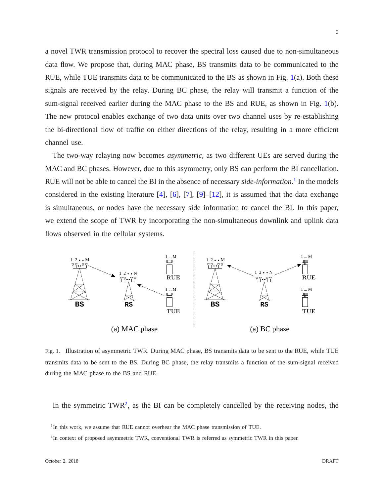a novel TWR transmission protocol to recover the spectral loss caused due to non-simultaneous data flow. We propose that, during MAC phase, BS transmits data to be communicated to the RUE, while TUE transmits data to be communicated to the BS as shown in Fig. [1\(](#page-2-0)a). Both these signals are received by the relay. During BC phase, the relay will transmit a function of the sum-signal received earlier during the MAC phase to the BS and RUE, as shown in Fig. [1\(](#page-2-0)b). The new protocol enables exchange of two data units over two channel uses by re-establishing the bi-directional flow of traffic on either directions of the relay, resulting in a more efficient channel use.

The two-way relaying now becomes *asymmetric*, as two different UEs are served during the MAC and BC phases. However, due to this asymmetry, only BS can perform the BI cancellation. RUE will not be able to cancel the BI in the absence of necessary *side-information*. [1](#page-2-1) In the models considered in the existing literature  $[4]$ ,  $[6]$ ,  $[7]$ ,  $[9]$ – $[12]$ , it is assumed that the data exchange is simultaneous, or nodes have the necessary side information to cancel the BI. In this paper, we extend the scope of TWR by incorporating the non-simultaneous downlink and uplink data flows observed in the cellular systems.



<span id="page-2-0"></span>Fig. 1. Illustration of asymmetric TWR. During MAC phase, BS transmits data to be sent to the RUE, while TUE transmits data to be sent to the BS. During BC phase, the relay transmits a function of the sum-signal received during the MAC phase to the BS and RUE.

In the symmetric  $TWR^2$  $TWR^2$ , as the BI can be completely cancelled by the receiving nodes, the

<sup>&</sup>lt;sup>1</sup>In this work, we assume that RUE cannot overhear the MAC phase transmission of TUE.

<span id="page-2-2"></span><span id="page-2-1"></span><sup>&</sup>lt;sup>2</sup>In context of proposed asymmetric TWR, conventional TWR is referred as symmetric TWR in this paper.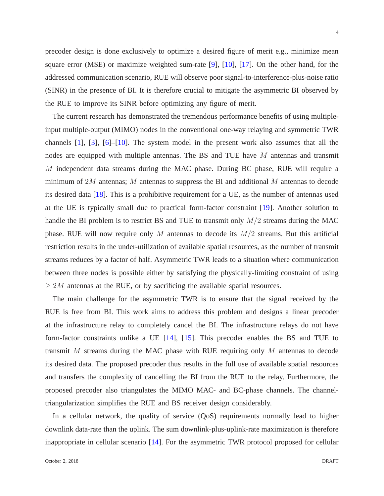precoder design is done exclusively to optimize a desired figure of merit e.g., minimize mean square error (MSE) or maximize weighted sum-rate [\[9\]](#page-28-5), [\[10\]](#page-28-7), [\[17\]](#page-28-8). On the other hand, for the addressed communication scenario, RUE will observe poor signal-to-interference-plus-noise ratio (SINR) in the presence of BI. It is therefore crucial to mitigate the asymmetric BI observed by the RUE to improve its SINR before optimizing any figure of merit.

The current research has demonstrated the tremendous performance benefits of using multipleinput multiple-output (MIMO) nodes in the conventional one-way relaying and symmetric TWR channels [\[1\]](#page-27-0), [\[3\]](#page-27-1), [\[6\]](#page-28-3)–[\[10\]](#page-28-7). The system model in the present work also assumes that all the nodes are equipped with multiple antennas. The BS and TUE have M antennas and transmit M independent data streams during the MAC phase. During BC phase, RUE will require a minimum of  $2M$  antennas; M antennas to suppress the BI and additional M antennas to decode its desired data [\[18\]](#page-28-9). This is a prohibitive requirement for a UE, as the number of antennas used at the UE is typically small due to practical form-factor constraint [\[19\]](#page-28-10). Another solution to handle the BI problem is to restrict BS and TUE to transmit only  $M/2$  streams during the MAC phase. RUE will now require only M antennas to decode its  $M/2$  streams. But this artificial restriction results in the under-utilization of available spatial resources, as the number of transmit streams reduces by a factor of half. Asymmetric TWR leads to a situation where communication between three nodes is possible either by satisfying the physically-limiting constraint of using  $\geq 2M$  antennas at the RUE, or by sacrificing the available spatial resources.

The main challenge for the asymmetric TWR is to ensure that the signal received by the RUE is free from BI. This work aims to address this problem and designs a linear precoder at the infrastructure relay to completely cancel the BI. The infrastructure relays do not have form-factor constraints unlike a UE [\[14\]](#page-28-1), [\[15\]](#page-28-11). This precoder enables the BS and TUE to transmit M streams during the MAC phase with RUE requiring only M antennas to decode its desired data. The proposed precoder thus results in the full use of available spatial resources and transfers the complexity of cancelling the BI from the RUE to the relay. Furthermore, the proposed precoder also triangulates the MIMO MAC- and BC-phase channels. The channeltriangularization simplifies the RUE and BS receiver design considerably.

In a cellular network, the quality of service (QoS) requirements normally lead to higher downlink data-rate than the uplink. The sum downlink-plus-uplink-rate maximization is therefore inappropriate in cellular scenario [\[14\]](#page-28-1). For the asymmetric TWR protocol proposed for cellular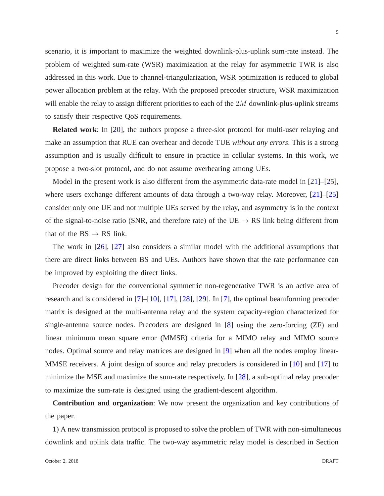scenario, it is important to maximize the weighted downlink-plus-uplink sum-rate instead. The problem of weighted sum-rate (WSR) maximization at the relay for asymmetric TWR is also addressed in this work. Due to channel-triangularization, WSR optimization is reduced to global power allocation problem at the relay. With the proposed precoder structure, WSR maximization will enable the relay to assign different priorities to each of the  $2M$  downlink-plus-uplink streams to satisfy their respective QoS requirements.

**Related work**: In [\[20\]](#page-28-12), the authors propose a three-slot protocol for multi-user relaying and make an assumption that RUE can overhear and decode TUE *without any errors*. This is a strong assumption and is usually difficult to ensure in practice in cellular systems. In this work, we propose a two-slot protocol, and do not assume overhearing among UEs.

Model in the present work is also different from the asymmetric data-rate model in [\[21\]](#page-28-13)–[\[25\]](#page-29-0), where users exchange different amounts of data through a two-way relay. Moreover, [\[21\]](#page-28-13)–[\[25\]](#page-29-0) consider only one UE and not multiple UEs served by the relay, and asymmetry is in the context of the signal-to-noise ratio (SNR, and therefore rate) of the UE  $\rightarrow$  RS link being different from that of the  $BS \rightarrow RS$  link.

The work in [\[26\]](#page-29-1), [\[27\]](#page-29-2) also considers a similar model with the additional assumptions that there are direct links between BS and UEs. Authors have shown that the rate performance can be improved by exploiting the direct links.

Precoder design for the conventional symmetric non-regenerative TWR is an active area of research and is considered in [\[7\]](#page-28-4)–[\[10\]](#page-28-7), [\[17\]](#page-28-8), [\[28\]](#page-29-3), [\[29\]](#page-29-4). In [\[7\]](#page-28-4), the optimal beamforming precoder matrix is designed at the multi-antenna relay and the system capacity-region characterized for single-antenna source nodes. Precoders are designed in [\[8\]](#page-28-14) using the zero-forcing (ZF) and linear minimum mean square error (MMSE) criteria for a MIMO relay and MIMO source nodes. Optimal source and relay matrices are designed in [\[9\]](#page-28-5) when all the nodes employ linear-MMSE receivers. A joint design of source and relay precoders is considered in [\[10\]](#page-28-7) and [\[17\]](#page-28-8) to minimize the MSE and maximize the sum-rate respectively. In [\[28\]](#page-29-3), a sub-optimal relay precoder to maximize the sum-rate is designed using the gradient-descent algorithm.

**Contribution and organization**: We now present the organization and key contributions of the paper.

1) A new transmission protocol is proposed to solve the problem of TWR with non-simultaneous downlink and uplink data traffic. The two-way asymmetric relay model is described in Section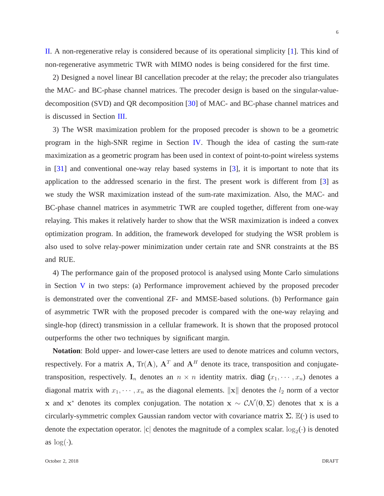[II.](#page-6-0) A non-regenerative relay is considered because of its operational simplicity [\[1\]](#page-27-0). This kind of non-regenerative asymmetric TWR with MIMO nodes is being considered for the first time.

2) Designed a novel linear BI cancellation precoder at the relay; the precoder also triangulates the MAC- and BC-phase channel matrices. The precoder design is based on the singular-valuedecomposition (SVD) and QR decomposition [\[30\]](#page-29-5) of MAC- and BC-phase channel matrices and is discussed in Section [III.](#page-7-0)

3) The WSR maximization problem for the proposed precoder is shown to be a geometric program in the high-SNR regime in Section [IV.](#page-14-0) Though the idea of casting the sum-rate maximization as a geometric program has been used in context of point-to-point wireless systems in [\[31\]](#page-29-6) and conventional one-way relay based systems in [\[3\]](#page-27-1), it is important to note that its application to the addressed scenario in the first. The present work is different from [\[3\]](#page-27-1) as we study the WSR maximization instead of the sum-rate maximization. Also, the MAC- and BC-phase channel matrices in asymmetric TWR are coupled together, different from one-way relaying. This makes it relatively harder to show that the WSR maximization is indeed a convex optimization program. In addition, the framework developed for studying the WSR problem is also used to solve relay-power minimization under certain rate and SNR constraints at the BS and RUE.

4) The performance gain of the proposed protocol is analysed using Monte Carlo simulations in Section [V](#page-17-0) in two steps: (a) Performance improvement achieved by the proposed precoder is demonstrated over the conventional ZF- and MMSE-based solutions. (b) Performance gain of asymmetric TWR with the proposed precoder is compared with the one-way relaying and single-hop (direct) transmission in a cellular framework. It is shown that the proposed protocol outperforms the other two techniques by significant margin.

**Notation**: Bold upper- and lower-case letters are used to denote matrices and column vectors, respectively. For a matrix A, Tr(A),  $A<sup>T</sup>$  and  $A<sup>H</sup>$  denote its trace, transposition and conjugatetransposition, respectively. I<sub>n</sub> denotes an  $n \times n$  identity matrix. diag  $(x_1, \dots, x_n)$  denotes a diagonal matrix with  $x_1, \dots, x_n$  as the diagonal elements.  $\|\mathbf{x}\|$  denotes the  $l_2$  norm of a vector x and x<sup>\*</sup> denotes its complex conjugation. The notation  $x \sim \mathcal{CN}(0, \Sigma)$  denotes that x is a circularly-symmetric complex Gaussian random vector with covariance matrix  $\Sigma$ .  $\mathbb{E}(\cdot)$  is used to denote the expectation operator.  $|c|$  denotes the magnitude of a complex scalar.  $log_2(\cdot)$  is denoted as  $log(·)$ .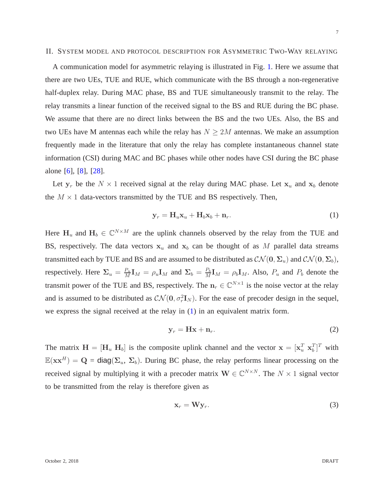## <span id="page-6-0"></span>II. SYSTEM MODEL AND PROTOCOL DESCRIPTION FOR ASYMMETRIC TWO-WAY RELAYING

A communication model for asymmetric relaying is illustrated in Fig. [1.](#page-2-0) Here we assume that there are two UEs, TUE and RUE, which communicate with the BS through a non-regenerative half-duplex relay. During MAC phase, BS and TUE simultaneously transmit to the relay. The relay transmits a linear function of the received signal to the BS and RUE during the BC phase. We assume that there are no direct links between the BS and the two UEs. Also, the BS and two UEs have M antennas each while the relay has  $N \geq 2M$  antennas. We make an assumption frequently made in the literature that only the relay has complete instantaneous channel state information (CSI) during MAC and BC phases while other nodes have CSI during the BC phase alone [\[6\]](#page-28-3), [\[8\]](#page-28-14), [\[28\]](#page-29-3).

Let  $y_r$  be the  $N \times 1$  received signal at the relay during MAC phase. Let  $x_u$  and  $x_b$  denote the  $M \times 1$  data-vectors transmitted by the TUE and BS respectively. Then,

<span id="page-6-1"></span>
$$
\mathbf{y}_r = \mathbf{H}_u \mathbf{x}_u + \mathbf{H}_b \mathbf{x}_b + \mathbf{n}_r. \tag{1}
$$

Here  $H_u$  and  $H_b \in \mathbb{C}^{N \times M}$  are the uplink channels observed by the relay from the TUE and BS, respectively. The data vectors  $x_u$  and  $x_b$  can be thought of as M parallel data streams transmitted each by TUE and BS and are assumed to be distributed as  $\mathcal{CN}(\mathbf{0}, \Sigma_u)$  and  $\mathcal{CN}(\mathbf{0}, \Sigma_b)$ , respectively. Here  $\Sigma_u = \frac{P_u}{M}$  $\frac{P_u}{M}\mathbf{I}_M = \rho_u \mathbf{I}_M$  and  $\mathbf{\Sigma}_b = \frac{P_b}{M}$  $\frac{P_b}{M}\mathbf{I}_M = \rho_b \mathbf{I}_M$ . Also,  $P_u$  and  $P_b$  denote the transmit power of the TUE and BS, respectively. The  $n_r \in \mathbb{C}^{N \times 1}$  is the noise vector at the relay and is assumed to be distributed as  $\mathcal{CN}(\mathbf{0}, \sigma_r^2 \mathbf{I}_N)$ . For the ease of precoder design in the sequel, we express the signal received at the relay in [\(1\)](#page-6-1) in an equivalent matrix form.

<span id="page-6-2"></span>
$$
\mathbf{y}_r = \mathbf{H}\mathbf{x} + \mathbf{n}_r. \tag{2}
$$

The matrix  $\mathbf{H} = [\mathbf{H}_u \ \mathbf{H}_b]$  is the composite uplink channel and the vector  $\mathbf{x} = [\mathbf{x}_u^T \ \mathbf{x}_b^T]^T$  with  $\mathbb{E}(\mathbf{x}\mathbf{x}^H) = \mathbf{Q}$  = diag( $\Sigma_u$ ,  $\Sigma_b$ ). During BC phase, the relay performs linear processing on the received signal by multiplying it with a precoder matrix  $\mathbf{W} \in \mathbb{C}^{N \times N}$ . The  $N \times 1$  signal vector to be transmitted from the relay is therefore given as

<span id="page-6-3"></span>
$$
\mathbf{x}_r = \mathbf{W} \mathbf{y}_r. \tag{3}
$$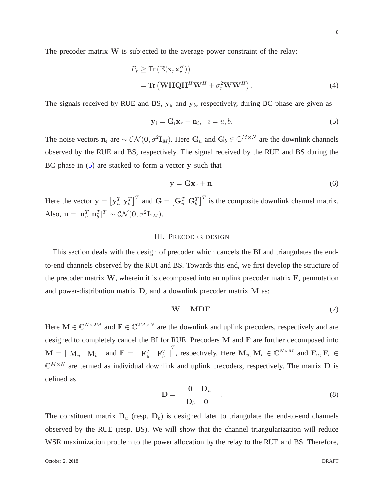The precoder matrix W is subjected to the average power constraint of the relay:

$$
P_r \ge \text{Tr}\left(\mathbb{E}(\mathbf{x}_r \mathbf{x}_r^H)\right)
$$
  
= Tr\left(\mathbf{W} \mathbf{H} \mathbf{Q} \mathbf{H}^H \mathbf{W}^H + \sigma\_r^2 \mathbf{W} \mathbf{W}^H\right). (4)

The signals received by RUE and BS,  $y_u$  and  $y_b$ , respectively, during BC phase are given as

<span id="page-7-4"></span>
$$
\mathbf{y}_i = \mathbf{G}_i \mathbf{x}_r + \mathbf{n}_i, \quad i = u, b. \tag{5}
$$

The noise vectors  $n_i$  are  $\sim \mathcal{CN}(0, \sigma^2 I_M)$ . Here  $G_u$  and  $G_b \in \mathbb{C}^{M \times N}$  are the downlink channels observed by the RUE and BS, respectively. The signal received by the RUE and BS during the BC phase in  $(5)$  are stacked to form a vector y such that

<span id="page-7-2"></span><span id="page-7-1"></span>
$$
y = Gx_r + n. \tag{6}
$$

<span id="page-7-0"></span>Here the vector  $y = \left[ y_u^T y_b^T \right]^T$  and  $G = \left[ G_u^T G_b^T \right]^T$  is the composite downlink channel matrix. Also,  $\mathbf{n} = [\mathbf{n}_u^T \ \mathbf{n}_b^T]^T \sim \mathcal{CN}(\mathbf{0}, \sigma^2 \mathbf{I}_{2M}).$ 

#### III. PRECODER DESIGN

This section deals with the design of precoder which cancels the BI and triangulates the endto-end channels observed by the RUI and BS. Towards this end, we first develop the structure of the precoder matrix  $W$ , wherein it is decomposed into an uplink precoder matrix  $F$ , permutation and power-distribution matrix D, and a downlink precoder matrix M as:

<span id="page-7-3"></span>
$$
W = MDF.
$$
 (7)

Here  $M \in \mathbb{C}^{N \times 2M}$  and  $F \in \mathbb{C}^{2M \times N}$  are the downlink and uplink precoders, respectively and are designed to completely cancel the BI for RUE. Precoders M and F are further decomposed into  $\mathbf{M} = [\mathbf{M}_u \quad \mathbf{M}_b]$  and  $\mathbf{F} = [\mathbf{F}_u^T \quad \mathbf{F}_b^T]$ , respectively. Here  $\mathbf{M}_u, \mathbf{M}_b \in \mathbb{C}^{N \times M}$  and  $\mathbf{F}_u, \mathbf{F}_b \in$  $\mathbb{C}^{M\times N}$  are termed as individual downlink and uplink precoders, respectively. The matrix D is defined as

<span id="page-7-5"></span>
$$
\mathbf{D} = \left[ \begin{array}{cc} \mathbf{0} & \mathbf{D}_u \\ \mathbf{D}_b & \mathbf{0} \end{array} \right]. \tag{8}
$$

The constituent matrix  $D_u$  (resp.  $D_b$ ) is designed later to triangulate the end-to-end channels observed by the RUE (resp. BS). We will show that the channel triangularization will reduce WSR maximization problem to the power allocation by the relay to the RUE and BS. Therefore,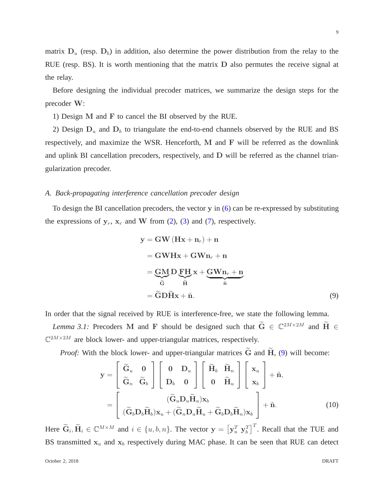9

matrix  $D_u$  (resp.  $D_b$ ) in addition, also determine the power distribution from the relay to the RUE (resp. BS). It is worth mentioning that the matrix D also permutes the receive signal at the relay.

Before designing the individual precoder matrices, we summarize the design steps for the precoder W:

1) Design M and F to cancel the BI observed by the RUE.

2) Design  $D_u$  and  $D_b$  to triangulate the end-to-end channels observed by the RUE and BS respectively, and maximize the WSR. Henceforth, M and F will be referred as the downlink and uplink BI cancellation precoders, respectively, and D will be referred as the channel triangularization precoder.

## *A. Back-propagating interference cancellation precoder design*

To design the BI cancellation precoders, the vector  $y$  in  $(6)$  can be re-expressed by substituting the expressions of  $y_r$ ,  $x_r$  and W from [\(2\)](#page-6-2), [\(3\)](#page-6-3) and [\(7\)](#page-7-3), respectively.

<span id="page-8-0"></span>
$$
y = GW (Hx + n_r) + n
$$
  
= GWHx + GWn<sub>r</sub> + n  
= GMD FH x + GWn<sub>r</sub> + n  

$$
\tilde{G} \qquad \tilde{H}
$$
  
= \tilde{G}DHx + \tilde{n}. (9)

In order that the signal received by RUE is interference-free, we state the following lemma.

*Lemma 3.1:* Precoders M and F should be designed such that  $\widetilde{G} \in \mathbb{C}^{2M \times 2M}$  and  $\widetilde{H} \in$  $\mathbb{C}^{2M\times 2M}$  are block lower- and upper-triangular matrices, respectively.

*Proof:* With the block lower- and upper-triangular matrices  $\tilde{G}$  and  $\tilde{H}$ , [\(9\)](#page-8-0) will become:

<span id="page-8-1"></span>
$$
\mathbf{y} = \begin{bmatrix} \tilde{\mathbf{G}}_{u} & \mathbf{0} \\ \tilde{\mathbf{G}}_{n} & \tilde{\mathbf{G}}_{b} \end{bmatrix} \begin{bmatrix} \mathbf{0} & \mathbf{D}_{u} \\ \mathbf{D}_{b} & \mathbf{0} \end{bmatrix} \begin{bmatrix} \tilde{\mathbf{H}}_{b} & \tilde{\mathbf{H}}_{n} \\ \mathbf{0} & \tilde{\mathbf{H}}_{u} \end{bmatrix} \begin{bmatrix} \mathbf{x}_{u} \\ \mathbf{x}_{b} \end{bmatrix} + \tilde{\mathbf{n}},
$$

$$
= \begin{bmatrix} (\tilde{\mathbf{G}}_{u} \mathbf{D}_{u} \tilde{\mathbf{H}}_{u}) \mathbf{x}_{b} \\ (\tilde{\mathbf{G}}_{b} \mathbf{D}_{b} \tilde{\mathbf{H}}_{b}) \mathbf{x}_{u} + (\tilde{\mathbf{G}}_{n} \mathbf{D}_{u} \tilde{\mathbf{H}}_{u} + \tilde{\mathbf{G}}_{b} \mathbf{D}_{b} \tilde{\mathbf{H}}_{n}) \mathbf{x}_{b} \end{bmatrix} + \tilde{\mathbf{n}}.
$$
(10)

Here  $\widetilde{\mathbf{G}}_i$ ,  $\widetilde{\mathbf{H}}_i \in \mathbb{C}^{M \times M}$  and  $i \in \{u, b, n\}$ . The vector  $\mathbf{y} = \left[\mathbf{y}_u^T \ \mathbf{y}_b^T\right]^T$ . Recall that the TUE and BS transmitted  $x_u$  and  $x_b$  respectively during MAC phase. It can be seen that RUE can detect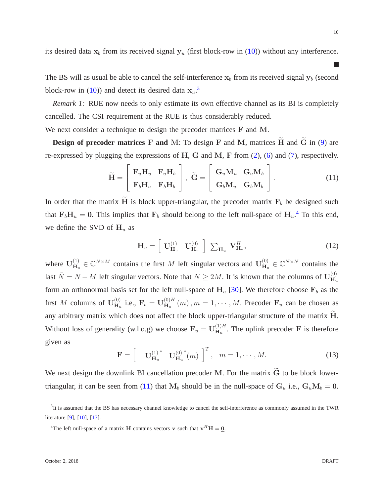its desired data  $x_b$  from its received signal  $y_u$  (first block-row in [\(10\)](#page-8-1)) without any interference.

The BS will as usual be able to cancel the self-interference  $x_b$  from its received signal  $y_b$  (second block-row in [\(10\)](#page-8-1)) and detect its desired data  $x_u$ .<sup>[3](#page-9-0)</sup>

*Remark 1:* RUE now needs to only estimate its own effective channel as its BI is completely cancelled. The CSI requirement at the RUE is thus considerably reduced.

We next consider a technique to design the precoder matrices F and M.

**Design of precoder matrices** F and M: To design F and M, matrices H and G in [\(9\)](#page-8-0) are re-expressed by plugging the expressions of H, G and M, F from  $(2)$ ,  $(6)$  and  $(7)$ , respectively.

$$
\widetilde{\mathbf{H}} = \begin{bmatrix} \mathbf{F}_u \mathbf{H}_u & \mathbf{F}_u \mathbf{H}_b \\ \mathbf{F}_b \mathbf{H}_u & \mathbf{F}_b \mathbf{H}_b \end{bmatrix}, \ \widetilde{\mathbf{G}} = \begin{bmatrix} \mathbf{G}_u \mathbf{M}_u & \mathbf{G}_u \mathbf{M}_b \\ \mathbf{G}_b \mathbf{M}_u & \mathbf{G}_b \mathbf{M}_b \end{bmatrix}.
$$
 (11)

In order that the matrix  $\tilde{H}$  is block upper-triangular, the precoder matrix  $F_b$  be designed such that  $F_bH_u = 0$ . This implies that  $F_b$  should belong to the left null-space of  $H_u$ .<sup>[4](#page-9-1)</sup> To this end, we define the SVD of  $H_u$  as

$$
\mathbf{H}_{u} = \left[ \begin{array}{cc} \mathbf{U}_{\mathbf{H}_{u}}^{(1)} & \mathbf{U}_{\mathbf{H}_{u}}^{(0)} \end{array} \right] \sum_{\mathbf{H}_{u}} \mathbf{V}_{\mathbf{H}_{u}}^{H}, \qquad (12)
$$

where  $\mathbf{U}_{\mathbf{H}_{\alpha}}^{(1)}$  $H_u^{(1)} \in \mathbb{C}^{N \times M}$  contains the first M left singular vectors and  $U_{H_u}^{(0)}$  $_{\mathbf{H}_u}^{(0)} \in \mathbb{C}^{N \times \bar{N}}$  contains the last  $\bar{N} = N - M$  left singular vectors. Note that  $N \ge 2M$ . It is known that the columns of  $\mathbf{U}_{\mathbf{H}_{u}}^{(0)}$  $\mathbf{H}_u$ form an orthonormal basis set for the left null-space of  $H_u$  [\[30\]](#page-29-5). We therefore choose  $F_b$  as the first M columns of  $U_{H_2}^{(0)}$  $\mathbf{H}_u^{(0)}$  i.e.,  $\mathbf{F}_b = \mathbf{U}_{\mathbf{H}_u}^{(0)H}$  $H_u^{(0)H}(m)$ ,  $m = 1, \cdots, M$ . Precoder  $\mathbf{F}_u$  can be chosen as any arbitrary matrix which does not affect the block upper-triangular structure of the matrix H. Without loss of generality (w.l.o.g) we choose  $\mathbf{F}_u = \mathbf{U}_{\mathbf{H}_u}^{(1)H}$  $H_u^{(1)H}$ . The uplink precoder F is therefore given as

<span id="page-9-3"></span>
$$
\mathbf{F} = \begin{bmatrix} \mathbf{U}_{\mathbf{H}_u}^{(1)^*} & \mathbf{U}_{\mathbf{H}_u}^{(0)^*}(m) \end{bmatrix}^T, \quad m = 1, \cdots, M. \tag{13}
$$

We next design the downlink BI cancellation precoder M. For the matrix  $\tilde{G}$  to be block lower-triangular, it can be seen from [\(11\)](#page-9-2) that  $M_b$  should be in the null-space of  $G_u$  i.e.,  $G_uM_b = 0$ .

<span id="page-9-2"></span> $\mathbb{R}^3$ 

<span id="page-9-0"></span> ${}^{3}$ It is assumed that the BS has necessary channel knowledge to cancel the self-interference as commonly assumed in the TWR literature [\[9\]](#page-28-5), [\[10\]](#page-28-7), [\[17\]](#page-28-8).

<span id="page-9-1"></span><sup>&</sup>lt;sup>4</sup>The left null-space of a matrix **H** contains vectors **v** such that  $\mathbf{v}^H \mathbf{H} = \mathbf{0}$ .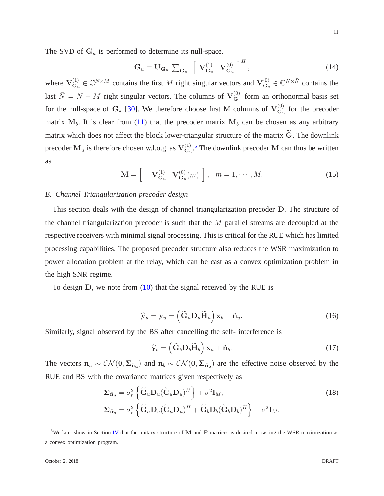The SVD of  $G_u$  is performed to determine its null-space.

$$
\mathbf{G}_u = \mathbf{U}_{\mathbf{G}_u} \sum_{\mathbf{G}_u} \left[ \mathbf{V}_{\mathbf{G}_u}^{(1)} \mathbf{V}_{\mathbf{G}_u}^{(0)} \right]^H, \tag{14}
$$

where  $V_{G_2}^{(1)}$  $\mathbf{G}_u^{(1)} \in \mathbb{C}^{N \times M}$  contains the first M right singular vectors and  $\mathbf{V}_{\mathbf{G}_u}^{(0)}$  $\mathbf{G}_u^{(0)} \in \mathbb{C}^{N \times \bar{N}}$  contains the last  $\bar{N} = N - M$  right singular vectors. The columns of  $V^{(0)}_{\mathbf{G}_u}$  $G_u^{(0)}$  form an orthonormal basis set for the null-space of  $G_u$  [\[30\]](#page-29-5). We therefore choose first M columns of  $V^{(0)}_{G_u}$  $G_u^{\left(\nu\right)}$  for the precoder matrix  $M_b$ . It is clear from [\(11\)](#page-9-2) that the precoder matrix  $M_b$  can be chosen as any arbitrary matrix which does not affect the block lower-triangular structure of the matrix  $\tilde{G}$ . The downlink precoder  $M_u$  is therefore chosen w.l.o.g. as  $V_{G_u}^{(1)}$  $G_{\alpha}^{(1)}$ .<sup>[5](#page-10-0)</sup> The downlink precoder M can thus be written as

<span id="page-10-4"></span>
$$
\mathbf{M} = \begin{bmatrix} \mathbf{V}_{\mathbf{G}_u}^{(1)} & \mathbf{V}_{\mathbf{G}_u}^{(0)}(m) \end{bmatrix}, \quad m = 1, \cdots, M. \tag{15}
$$

## *B. Channel Triangularization precoder design*

This section deals with the design of channel triangularization precoder D. The structure of the channel triangularization precoder is such that the  $M$  parallel streams are decoupled at the respective receivers with minimal signal processing. This is critical for the RUE which has limited processing capabilities. The proposed precoder structure also reduces the WSR maximization to power allocation problem at the relay, which can be cast as a convex optimization problem in the high SNR regime.

To design D, we note from [\(10\)](#page-8-1) that the signal received by the RUE is

$$
\widehat{\mathbf{y}}_u = \mathbf{y}_u = \left( \widetilde{\mathbf{G}}_u \mathbf{D}_u \widetilde{\mathbf{H}}_u \right) \mathbf{x}_b + \widetilde{\mathbf{n}}_u.
$$
\n(16)

Similarly, signal observed by the BS after cancelling the self- interference is

<span id="page-10-3"></span><span id="page-10-2"></span><span id="page-10-1"></span>
$$
\widehat{\mathbf{y}}_b = \left( \widetilde{\mathbf{G}}_b \mathbf{D}_b \widetilde{\mathbf{H}}_b \right) \mathbf{x}_u + \widetilde{\mathbf{n}}_b. \tag{17}
$$

The vectors  $\tilde{n}_u \sim \mathcal{CN}(0, \Sigma_{\tilde{n}_u})$  and  $\tilde{n}_b \sim \mathcal{CN}(0, \Sigma_{\tilde{n}_b})$  are the effective noise observed by the RUE and BS with the covariance matrices given respectively as

$$
\Sigma_{\tilde{\mathbf{n}}_{\mathbf{u}}} = \sigma_r^2 \left\{ \tilde{\mathbf{G}}_u \mathbf{D}_u (\tilde{\mathbf{G}}_u \mathbf{D}_u)^H \right\} + \sigma^2 \mathbf{I}_M, \n\Sigma_{\tilde{\mathbf{n}}_{\mathbf{b}}} = \sigma_r^2 \left\{ \tilde{\mathbf{G}}_n \mathbf{D}_u (\tilde{\mathbf{G}}_n \mathbf{D}_u)^H + \tilde{\mathbf{G}}_b \mathbf{D}_b (\tilde{\mathbf{G}}_b \mathbf{D}_b)^H \right\} + \sigma^2 \mathbf{I}_M.
$$
\n(18)

<span id="page-10-0"></span><sup>5</sup>We later show in Section [IV](#page-14-0) that the unitary structure of M and F matrices is desired in casting the WSR maximization as a convex optimization program.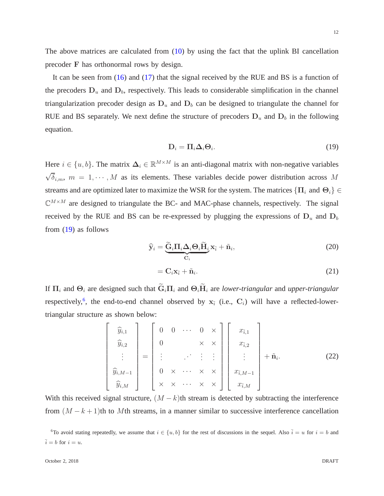The above matrices are calculated from  $(10)$  by using the fact that the uplink BI cancellation precoder F has orthonormal rows by design.

It can be seen from [\(16\)](#page-10-1) and [\(17\)](#page-10-2) that the signal received by the RUE and BS is a function of the precoders  $D_u$  and  $D_b$ , respectively. This leads to considerable simplification in the channel triangularization precoder design as  $D_u$  and  $D_b$  can be designed to triangulate the channel for RUE and BS separately. We next define the structure of precoders  $D_u$  and  $D_b$  in the following equation.

<span id="page-11-0"></span>
$$
D_i = \Pi_i \Delta_i \Theta_i. \tag{19}
$$

Here  $i \in \{u, b\}$ . The matrix  $\Delta_i \in \mathbb{R}^{M \times M}$  is an anti-diagonal matrix with non-negative variables  $\sqrt{\delta}_{i,m}$ ,  $m = 1, \dots, M$  as its elements. These variables decide power distribution across M streams and are optimized later to maximize the WSR for the system. The matrices  $\{\Pi_i\}$  and  $\Theta_i\}$  $\mathbb{C}^{M \times M}$  are designed to triangulate the BC- and MAC-phase channels, respectively. The signal received by the RUE and BS can be re-expressed by plugging the expressions of  $D_u$  and  $D_b$ from [\(19\)](#page-11-0) as follows

$$
\widehat{\mathbf{y}}_i = \underbrace{\widetilde{\mathbf{G}}_i \Pi_i \Delta_i \Theta_i \widetilde{\mathbf{H}}_i}_{\mathbf{C}_i} \mathbf{x}_{\bar{i}} + \widetilde{\mathbf{n}}_i, \tag{20}
$$

$$
= \mathbf{C}_i \mathbf{x}_{\bar{i}} + \tilde{\mathbf{n}}_i. \tag{21}
$$

If  $\Pi_i$  and  $\Theta_i$  are designed such that  $\widetilde{G}_i\Pi_i$  and  $\Theta_i\widetilde{H}_i$  are *lower-triangular* and *upper-triangular* respectively,<sup>[6](#page-11-1)</sup>, the end-to-end channel observed by  $x_{\bar{i}}$  (i.e.,  $C_i$ ) will have a reflected-lowertriangular structure as shown below:

<span id="page-11-2"></span>
$$
\begin{bmatrix}\n\widehat{y}_{i,1} \\
\widehat{y}_{i,2} \\
\vdots \\
\widehat{y}_{i,M-1} \\
\widehat{y}_{i,M}\n\end{bmatrix} = \begin{bmatrix}\n0 & 0 & \cdots & 0 & \times \\
0 & & & \times & \times \\
\vdots & & \ddots & \vdots & \vdots \\
0 & \times & \cdots & \times & \times \\
\times & \times & \cdots & \times & \times\n\end{bmatrix} \begin{bmatrix}\nx_{\overline{i},1} \\
x_{\overline{i},2} \\
\vdots \\
x_{\overline{i},M-1} \\
x_{\overline{i},M}\n\end{bmatrix} + \widetilde{n}_i.
$$
\n(22)

With this received signal structure,  $(M - k)$ th stream is detected by subtracting the interference from  $(M - k + 1)$ th to Mth streams, in a manner similar to successive interference cancellation

<span id="page-11-1"></span><sup>&</sup>lt;sup>6</sup>To avoid stating repeatedly, we assume that  $i \in \{u, b\}$  for the rest of discussions in the sequel. Also  $\overline{i} = u$  for  $i = b$  and  $\bar{i} = b$  for  $i = u$ .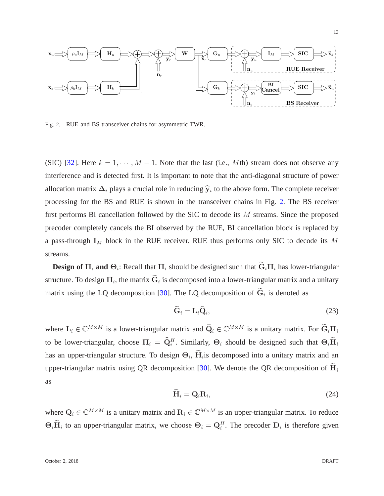

<span id="page-12-0"></span>Fig. 2. RUE and BS transceiver chains for asymmetric TWR.

(SIC) [\[32\]](#page-29-7). Here  $k = 1, \dots, M - 1$ . Note that the last (i.e., Mth) stream does not observe any interference and is detected first. It is important to note that the anti-diagonal structure of power allocation matrix  $\Delta_i$  plays a crucial role in reducing  $\hat{y}_i$  to the above form. The complete receiver processing for the BS and RUE is shown in the transceiver chains in Fig. [2.](#page-12-0) The BS receiver first performs BI cancellation followed by the SIC to decode its M streams. Since the proposed precoder completely cancels the BI observed by the RUE, BI cancellation block is replaced by a pass-through  $I_M$  block in the RUE receiver. RUE thus performs only SIC to decode its M streams.

**Design of**  $\Pi_i$  and  $\Theta_i$ : Recall that  $\Pi_i$  should be designed such that  $G_i\Pi_i$  has lower-triangular structure. To design  $\Pi_i$ , the matrix  $G_i$  is decomposed into a lower-triangular matrix and a unitary matrix using the LQ decomposition [\[30\]](#page-29-5). The LQ decomposition of  $G_i$  is denoted as

$$
\widetilde{\mathbf{G}}_i = \mathbf{L}_i \widehat{\mathbf{Q}}_i,\tag{23}
$$

where  $L_i \in \mathbb{C}^{M \times M}$  is a lower-triangular matrix and  $\widehat{Q}_i \in \mathbb{C}^{M \times M}$  is a unitary matrix. For  $\widetilde{G}_i \Pi_i$ to be lower-triangular, choose  $\Pi_i = \hat{Q}_i^H$ . Similarly,  $\Theta_i$  should be designed such that  $\Theta_i \hat{H}_i$ has an upper-triangular structure. To design  $\Theta_i$ ,  $H_i$  is decomposed into a unitary matrix and an upper-triangular matrix using QR decomposition [\[30\]](#page-29-5). We denote the QR decomposition of  $H_i$ as

$$
\widetilde{\mathbf{H}}_i = \mathbf{Q}_i \mathbf{R}_i, \tag{24}
$$

where  $Q_i \in \mathbb{C}^{M \times M}$  is a unitary matrix and  $R_i \in \mathbb{C}^{M \times M}$  is an upper-triangular matrix. To reduce  $\Theta_i \mathbf{H}_i$  to an upper-triangular matrix, we choose  $\Theta_i = \mathbf{Q}_i^H$ . The precoder  $\mathbf{D}_i$  is therefore given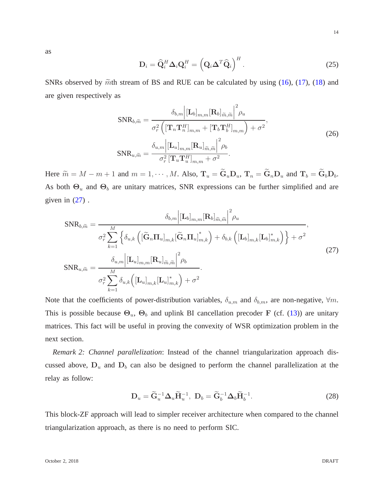as

<span id="page-13-1"></span>
$$
\mathbf{D}_{i} = \widehat{\mathbf{Q}}_{i}^{H} \mathbf{\Delta}_{i} \mathbf{Q}_{i}^{H} = \left( \mathbf{Q}_{i} \mathbf{\Delta}^{T} \widehat{\mathbf{Q}}_{i} \right)^{H}.
$$
 (25)

SNRs observed by  $\tilde{m}$ th stream of BS and RUE can be calculated by using [\(16\)](#page-10-1), [\(17\)](#page-10-2), [\(18\)](#page-10-3) and are given respectively as

$$
\text{SNR}_{b,\widetilde{m}} = \frac{\delta_{b,m} \left| \left[ \mathbf{L}_b \right]_{m,m} \left[ \mathbf{R}_b \right]_{\widetilde{m},\widetilde{m}} \right|^2 \rho_u}{\sigma_r^2 \left( \left[ \mathbf{T}_n \mathbf{T}_n^H \right]_{m,m} + \left[ \mathbf{T}_b \mathbf{T}_b^H \right]_{m,m} \right) + \sigma^2},
$$
\n
$$
\text{SNR}_{u,\widetilde{m}} = \frac{\delta_{u,m} \left| \left[ \mathbf{L}_u \right]_{m,m} \left[ \mathbf{R}_u \right]_{\widetilde{m},\widetilde{m}} \right|^2 \rho_b}{\sigma_r^2 \left[ \mathbf{T}_u \mathbf{T}_u^H \right]_{m,m} + \sigma^2}.
$$
\n(26)

Here  $\widetilde{m} = M - m + 1$  and  $m = 1, \cdots, M$ . Also,  $\mathbf{T}_u = \widetilde{\mathbf{G}}_u \mathbf{D}_u$ ,  $\mathbf{T}_n = \widetilde{\mathbf{G}}_n \mathbf{D}_u$  and  $\mathbf{T}_b = \widetilde{\mathbf{G}}_b \mathbf{D}_b$ . As both  $\Theta_u$  and  $\Theta_b$  are unitary matrices, SNR expressions can be further simplified and are given in  $(27)$ .

<span id="page-13-0"></span>
$$
SNR_{b,\widetilde{m}} = \frac{\delta_{b,m} \left| \left[ \mathbf{L}_{b} \right]_{m,m} \left[ \mathbf{R}_{b} \right]_{\widetilde{m},\widetilde{m}} \right|^{2} \rho_{u}}{\sigma_{r}^{2} \sum_{k=1}^{M} \left\{ \delta_{u,k} \left( \left[ \widetilde{\mathbf{G}}_{n} \mathbf{\Pi}_{u} \right]_{m,k} \left[ \widetilde{\mathbf{G}}_{n} \mathbf{\Pi}_{u} \right]_{m,k}^{*} \right) + \delta_{b,k} \left( \left[ \mathbf{L}_{b} \right]_{m,k} \left[ \mathbf{L}_{b} \right]_{m,k}^{*} \right) \right\} + \sigma^{2}}{\delta_{u,m} \left| \left[ \mathbf{L}_{u} \right]_{m,m} \left[ \mathbf{R}_{u} \right]_{\widetilde{m},\widetilde{m}} \right|^{2} \rho_{b}}.
$$
\n
$$
SNR_{u,\widetilde{m}} = \frac{\delta_{u,m} \left| \left[ \mathbf{L}_{u} \right]_{m,m} \left[ \mathbf{R}_{u} \right]_{\widetilde{m},\widetilde{m}} \right|^{2} \rho_{b}}{\sigma_{r}^{2} \sum_{k=1}^{M} \delta_{u,k} \left( \left[ \mathbf{L}_{u} \right]_{m,k} \left[ \mathbf{L}_{u} \right]_{m,k}^{*} \right) + \sigma^{2}}.
$$
\n(27)

Note that the coefficients of power-distribution variables,  $\delta_{u,m}$  and  $\delta_{b,m}$ , are non-negative,  $\forall m$ . This is possible because  $\Theta_u$ ,  $\Theta_b$  and uplink BI cancellation precoder F (cf. [\(13\)](#page-9-3)) are unitary matrices. This fact will be useful in proving the convexity of WSR optimization problem in the next section.

*Remark 2: Channel parallelization*: Instead of the channel triangularization approach discussed above,  $D_u$  and  $D_b$  can also be designed to perform the channel parallelization at the relay as follow:

<span id="page-13-2"></span>
$$
\mathbf{D}_u = \widetilde{\mathbf{G}}_u^{-1} \boldsymbol{\Delta}_u \widetilde{\mathbf{H}}_u^{-1}, \ \mathbf{D}_b = \widetilde{\mathbf{G}}_b^{-1} \boldsymbol{\Delta}_b \widetilde{\mathbf{H}}_b^{-1}.
$$

This block-ZF approach will lead to simpler receiver architecture when compared to the channel triangularization approach, as there is no need to perform SIC.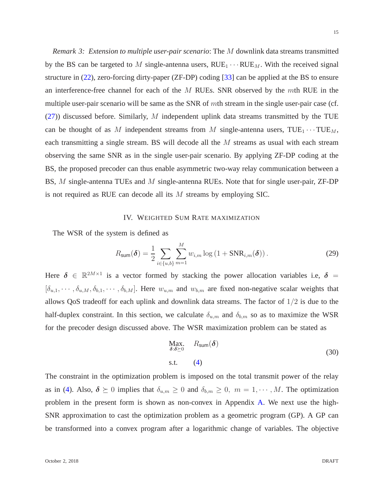*Remark 3: Extension to multiple user-pair scenario*: The M downlink data streams transmitted by the BS can be targeted to M single-antenna users,  $RUE_1 \cdots RUE_M$ . With the received signal structure in [\(22\)](#page-11-2), zero-forcing dirty-paper (ZF-DP) coding [\[33\]](#page-29-8) can be applied at the BS to ensure an interference-free channel for each of the  $M$  RUEs. SNR observed by the  $m$ th RUE in the multiple user-pair scenario will be same as the SNR of mth stream in the single user-pair case (cf.  $(27)$ ) discussed before. Similarly, M independent uplink data streams transmitted by the TUE can be thought of as M independent streams from M single-antenna users,  $\text{TUE}_{1} \cdots \text{TUE}_{M}$ , each transmitting a single stream. BS will decode all the M streams as usual with each stream observing the same SNR as in the single user-pair scenario. By applying ZF-DP coding at the BS, the proposed precoder can thus enable asymmetric two-way relay communication between a BS, M single-antenna TUEs and M single-antenna RUEs. Note that for single user-pair, ZF-DP is not required as RUE can decode all its M streams by employing SIC.

# IV. WEIGHTED SUM RATE MAXIMIZATION

<span id="page-14-0"></span>The WSR of the system is defined as

$$
R_{\text{sum}}(\boldsymbol{\delta}) = \frac{1}{2} \sum_{i \in \{u, b\}} \sum_{m=1}^{M} w_{i,m} \log \left( 1 + \text{SNR}_{i,m}(\boldsymbol{\delta}) \right). \tag{29}
$$

Here  $\delta \in \mathbb{R}^{2M \times 1}$  is a vector formed by stacking the power allocation variables i.e,  $\delta =$  $[\delta_{u,1},\cdots,\delta_{u,M},\delta_{b,1},\cdots,\delta_{b,M}]$ . Here  $w_{u,m}$  and  $w_{b,m}$  are fixed non-negative scalar weights that allows QoS tradeoff for each uplink and downlink data streams. The factor of  $1/2$  is due to the half-duplex constraint. In this section, we calculate  $\delta_{u,m}$  and  $\delta_{b,m}$  so as to maximize the WSR for the precoder design discussed above. The WSR maximization problem can be stated as

<span id="page-14-1"></span>
$$
\begin{array}{ll}\n\text{Max.} & R_{\text{sum}}(\delta) \\
\delta \cdot \delta \geq 0\n\end{array} \tag{30}
$$
\n
$$
\text{s.t.} \quad (4)
$$

The constraint in the optimization problem is imposed on the total transmit power of the relay as in [\(4\)](#page-7-4). Also,  $\delta \succeq 0$  implies that  $\delta_{u,m} \geq 0$  and  $\delta_{b,m} \geq 0$ ,  $m = 1, \dots, M$ . The optimization problem in the present form is shown as non-convex in Appendix [A.](#page-25-0) We next use the high-SNR approximation to cast the optimization problem as a geometric program (GP). A GP can be transformed into a convex program after a logarithmic change of variables. The objective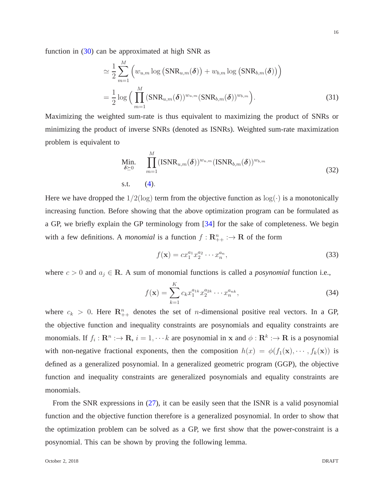function in  $(30)$  can be approximated at high SNR as

$$
\approx \frac{1}{2} \sum_{m=1}^{M} \left( w_{u,m} \log \left( \text{SNR}_{u,m}(\boldsymbol{\delta}) \right) + w_{b,m} \log \left( \text{SNR}_{b,m}(\boldsymbol{\delta}) \right) \right)
$$

$$
= \frac{1}{2} \log \left( \prod_{m=1}^{M} (\text{SNR}_{u,m}(\boldsymbol{\delta}))^{w_{u,m}} (\text{SNR}_{b,m}(\boldsymbol{\delta}))^{w_{b,m}} \right).
$$
(31)

Maximizing the weighted sum-rate is thus equivalent to maximizing the product of SNRs or minimizing the product of inverse SNRs (denoted as ISNRs). Weighted sum-rate maximization problem is equivalent to

<span id="page-15-0"></span>Min. 
$$
\prod_{\delta \geq 0}^{M} (\text{ISNR}_{u,m}(\delta))^{w_{u,m}} (\text{ISNR}_{b,m}(\delta))^{w_{b,m}}
$$
\ns.t. (4).

Here we have dropped the  $1/2(\log)$  term from the objective function as  $\log(\cdot)$  is a monotonically increasing function. Before showing that the above optimization program can be formulated as a GP, we briefly explain the GP terminology from [\[34\]](#page-29-9) for the sake of completeness. We begin with a few definitions. A *monomial* is a function  $f: \mathbb{R}_{++}^n : \to \mathbb{R}$  of the form

$$
f(\mathbf{x}) = c x_1^{a_1} x_2^{a_2} \cdots x_n^{a_n},\tag{33}
$$

where  $c > 0$  and  $a_j \in \mathbb{R}$ . A sum of monomial functions is called a *posynomial* function i.e.,

<span id="page-15-1"></span>
$$
f(\mathbf{x}) = \sum_{k=1}^{K} c_k x_1^{a_{1k}} x_2^{a_{2k}} \cdots x_n^{a_{nk}},
$$
\n(34)

where  $c_k > 0$ . Here  $\mathbb{R}_{++}^n$  denotes the set of *n*-dimensional positive real vectors. In a GP, the objective function and inequality constraints are posynomials and equality constraints are monomials. If  $f_i : \mathbf{R}^n : \to \mathbf{R}$ ,  $i = 1, \dots k$  are posynomial in x and  $\phi : \mathbf{R}^k : \to \mathbf{R}$  is a posynomial with non-negative fractional exponents, then the composition  $h(x) = \phi(f_1(\mathbf{x}), \dots, f_k(\mathbf{x}))$  is defined as a generalized posynomial. In a generalized geometric program (GGP), the objective function and inequality constraints are generalized posynomials and equality constraints are monomials.

From the SNR expressions in [\(27\)](#page-13-0), it can be easily seen that the ISNR is a valid posynomial function and the objective function therefore is a generalized posynomial. In order to show that the optimization problem can be solved as a GP, we first show that the power-constraint is a posynomial. This can be shown by proving the following lemma.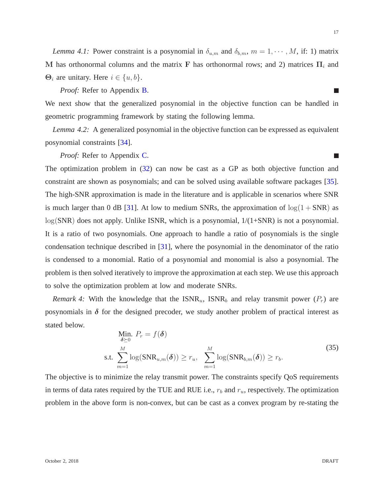*Lemma 4.1:* Power constraint is a posynomial in  $\delta_{u,m}$  and  $\delta_{b,m}$ ,  $m = 1, \dots, M$ , if: 1) matrix M has orthonormal columns and the matrix F has orthonormal rows; and 2) matrices  $\Pi_i$  and  $\Theta_i$  are unitary. Here  $i \in \{u, b\}$ .

*Proof:* Refer to Appendix [B.](#page-25-1)

We next show that the generalized posynomial in the objective function can be handled in geometric programming framework by stating the following lemma.

*Lemma 4.2:* A generalized posynomial in the objective function can be expressed as equivalent posynomial constraints [\[34\]](#page-29-9).

*Proof:* Refer to Appendix [C.](#page-27-3)

The optimization problem in  $(32)$  can now be cast as a GP as both objective function and constraint are shown as posynomials; and can be solved using available software packages [\[35\]](#page-29-10). The high-SNR approximation is made in the literature and is applicable in scenarios where SNR is much larger than 0 dB [\[31\]](#page-29-6). At low to medium SNRs, the approximation of  $log(1 + SNR)$  as  $log(SNR)$  does not apply. Unlike ISNR, which is a posynomial,  $1/(1+SNR)$  is not a posynomial. It is a ratio of two posynomials. One approach to handle a ratio of posynomials is the single condensation technique described in [\[31\]](#page-29-6), where the posynomial in the denominator of the ratio is condensed to a monomial. Ratio of a posynomial and monomial is also a posynomial. The problem is then solved iteratively to improve the approximation at each step. We use this approach to solve the optimization problem at low and moderate SNRs.

*Remark 4:* With the knowledge that the  $ISNR_u$ ,  $ISNR_b$  and relay transmit power  $(P_r)$  are posynomials in  $\delta$  for the designed precoder, we study another problem of practical interest as stated below.

<span id="page-16-0"></span>Min. 
$$
P_r = f(\delta)
$$
  
s.t. 
$$
\sum_{m=1}^{M} \log(SNR_{u,m}(\delta)) \ge r_u, \sum_{m=1}^{M} \log(SNR_{b,m}(\delta)) \ge r_b.
$$
 (35)

The objective is to minimize the relay transmit power. The constraints specify QoS requirements in terms of data rates required by the TUE and RUE i.e.,  $r_b$  and  $r_u$ , respectively. The optimization problem in the above form is non-convex, but can be cast as a convex program by re-stating the

m.

 $\mathcal{C}^{\mathcal{A}}$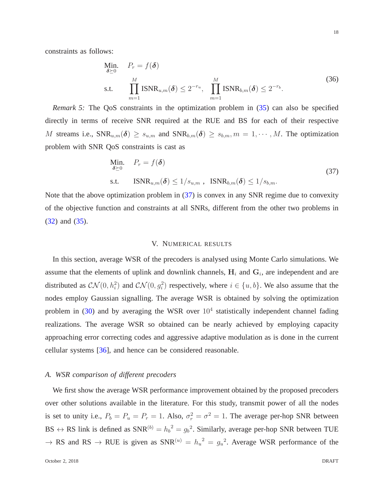constraints as follows:

Min. 
$$
P_r = f(\delta)
$$
  
s.t. 
$$
\prod_{m=1}^{M} \text{ISNR}_{u,m}(\delta) \le 2^{-r_u}, \quad \prod_{m=1}^{M} \text{ISNR}_{b,m}(\delta) \le 2^{-r_b}.
$$
 (36)

*Remark 5:* The QoS constraints in the optimization problem in [\(35\)](#page-16-0) can also be specified directly in terms of receive SNR required at the RUE and BS for each of their respective M streams i.e.,  $SNR_{u,m}(\delta) \geq s_{u,m}$  and  $SNR_{b,m}(\delta) \geq s_{b,m}, m = 1, \cdots, M$ . The optimization problem with SNR QoS constraints is cast as

<span id="page-17-1"></span>Min. 
$$
P_r = f(\delta)
$$
  
s.t.  $ISNR_{u,m}(\delta) \le 1/s_{u,m}$ ,  $ISNR_{b,m}(\delta) \le 1/s_{b,m}$ . (37)

<span id="page-17-0"></span>Note that the above optimization problem in  $(37)$  is convex in any SNR regime due to convexity of the objective function and constraints at all SNRs, different from the other two problems in [\(32\)](#page-15-0) and [\(35\)](#page-16-0).

#### V. NUMERICAL RESULTS

In this section, average WSR of the precoders is analysed using Monte Carlo simulations. We assume that the elements of uplink and downlink channels,  $H_i$  and  $G_i$ , are independent and are distributed as  $CN(0, h_i^2)$  and  $CN(0, g_i^2)$  respectively, where  $i \in \{u, b\}$ . We also assume that the nodes employ Gaussian signalling. The average WSR is obtained by solving the optimization problem in [\(30\)](#page-14-1) and by averaging the WSR over  $10<sup>4</sup>$  statistically independent channel fading realizations. The average WSR so obtained can be nearly achieved by employing capacity approaching error correcting codes and aggressive adaptive modulation as is done in the current cellular systems [\[36\]](#page-29-11), and hence can be considered reasonable.

#### *A. WSR comparison of different precoders*

We first show the average WSR performance improvement obtained by the proposed precoders over other solutions available in the literature. For this study, transmit power of all the nodes is set to unity i.e.,  $P_b = P_u = P_r = 1$ . Also,  $\sigma_r^2 = \sigma^2 = 1$ . The average per-hop SNR between BS  $\leftrightarrow$  RS link is defined as SNR<sup>(b)</sup> =  $h_b^2 = g_b^2$ . Similarly, average per-hop SNR between TUE  $\rightarrow$  RS and RS  $\rightarrow$  RUE is given as SNR<sup>(u)</sup> =  $h_u^2 = g_u^2$ . Average WSR performance of the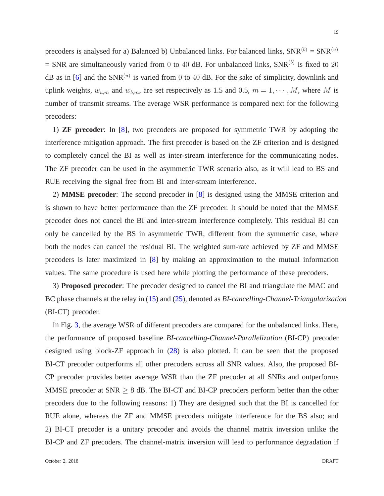precoders is analysed for a) Balanced b) Unbalanced links. For balanced links,  $SNR^{(b)} = SNR^{(u)}$  $=$  SNR are simultaneously varied from 0 to 40 dB. For unbalanced links, SNR<sup>(b)</sup> is fixed to 20 dB as in [\[6\]](#page-28-3) and the SNR<sup>(u)</sup> is varied from 0 to 40 dB. For the sake of simplicity, downlink and uplink weights,  $w_{u,m}$  and  $w_{b,m}$ , are set respectively as 1.5 and 0.5,  $m = 1, \dots, M$ , where M is number of transmit streams. The average WSR performance is compared next for the following precoders:

1) **ZF precoder**: In [\[8\]](#page-28-14), two precoders are proposed for symmetric TWR by adopting the interference mitigation approach. The first precoder is based on the ZF criterion and is designed to completely cancel the BI as well as inter-stream interference for the communicating nodes. The ZF precoder can be used in the asymmetric TWR scenario also, as it will lead to BS and RUE receiving the signal free from BI and inter-stream interference.

2) **MMSE precoder**: The second precoder in [\[8\]](#page-28-14) is designed using the MMSE criterion and is shown to have better performance than the ZF precoder. It should be noted that the MMSE precoder does not cancel the BI and inter-stream interference completely. This residual BI can only be cancelled by the BS in asymmetric TWR, different from the symmetric case, where both the nodes can cancel the residual BI. The weighted sum-rate achieved by ZF and MMSE precoders is later maximized in [\[8\]](#page-28-14) by making an approximation to the mutual information values. The same procedure is used here while plotting the performance of these precoders.

3) **Proposed precoder**: The precoder designed to cancel the BI and triangulate the MAC and BC phase channels at the relay in [\(15\)](#page-10-4) and [\(25\)](#page-13-1), denoted as *BI-cancelling-Channel-Triangularization* (BI-CT) precoder.

In Fig. [3,](#page-19-0) the average WSR of different precoders are compared for the unbalanced links. Here, the performance of proposed baseline *BI-cancelling-Channel-Parallelization* (BI-CP) precoder designed using block-ZF approach in [\(28\)](#page-13-2) is also plotted. It can be seen that the proposed BI-CT precoder outperforms all other precoders across all SNR values. Also, the proposed BI-CP precoder provides better average WSR than the ZF precoder at all SNRs and outperforms MMSE precoder at  $SNR \geq 8$  dB. The BI-CT and BI-CP precoders perform better than the other precoders due to the following reasons: 1) They are designed such that the BI is cancelled for RUE alone, whereas the ZF and MMSE precoders mitigate interference for the BS also; and 2) BI-CT precoder is a unitary precoder and avoids the channel matrix inversion unlike the BI-CP and ZF precoders. The channel-matrix inversion will lead to performance degradation if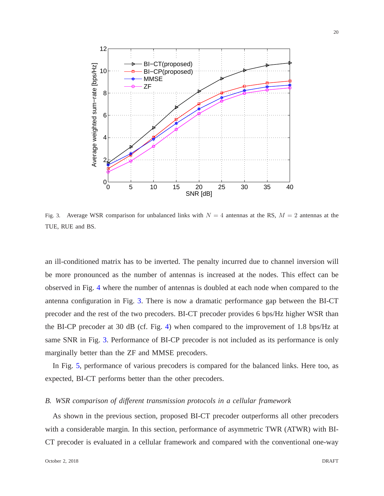

<span id="page-19-0"></span>Fig. 3. Average WSR comparison for unbalanced links with  $N = 4$  antennas at the RS,  $M = 2$  antennas at the TUE, RUE and BS.

an ill-conditioned matrix has to be inverted. The penalty incurred due to channel inversion will be more pronounced as the number of antennas is increased at the nodes. This effect can be observed in Fig. [4](#page-20-0) where the number of antennas is doubled at each node when compared to the antenna configuration in Fig. [3.](#page-19-0) There is now a dramatic performance gap between the BI-CT precoder and the rest of the two precoders. BI-CT precoder provides 6 bps/Hz higher WSR than the BI-CP precoder at 30 dB (cf. Fig. [4\)](#page-20-0) when compared to the improvement of 1.8 bps/Hz at same SNR in Fig. [3.](#page-19-0) Performance of BI-CP precoder is not included as its performance is only marginally better than the ZF and MMSE precoders.

In Fig. [5,](#page-20-1) performance of various precoders is compared for the balanced links. Here too, as expected, BI-CT performs better than the other precoders.

## *B. WSR comparison of different transmission protocols in a cellular framework*

As shown in the previous section, proposed BI-CT precoder outperforms all other precoders with a considerable margin. In this section, performance of asymmetric TWR (ATWR) with BI-CT precoder is evaluated in a cellular framework and compared with the conventional one-way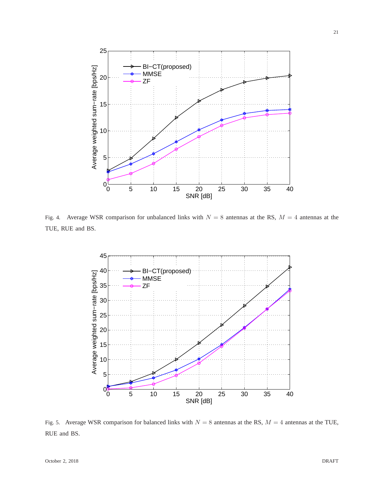

<span id="page-20-0"></span>Fig. 4. Average WSR comparison for unbalanced links with  $N = 8$  antennas at the RS,  $M = 4$  antennas at the TUE, RUE and BS.



<span id="page-20-1"></span>Fig. 5. Average WSR comparison for balanced links with  $N = 8$  antennas at the RS,  $M = 4$  antennas at the TUE, RUE and BS.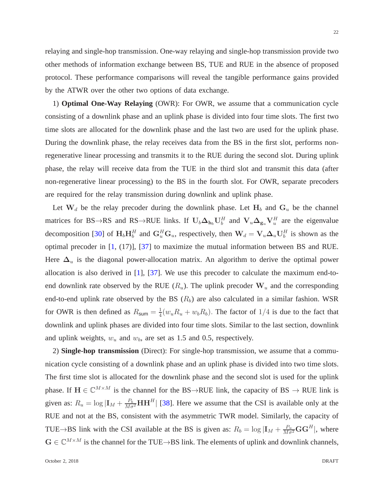relaying and single-hop transmission. One-way relaying and single-hop transmission provide two other methods of information exchange between BS, TUE and RUE in the absence of proposed protocol. These performance comparisons will reveal the tangible performance gains provided by the ATWR over the other two options of data exchange.

1) **Optimal One-Way Relaying** (OWR): For OWR, we assume that a communication cycle consisting of a downlink phase and an uplink phase is divided into four time slots. The first two time slots are allocated for the downlink phase and the last two are used for the uplink phase. During the downlink phase, the relay receives data from the BS in the first slot, performs nonregenerative linear processing and transmits it to the RUE during the second slot. During uplink phase, the relay will receive data from the TUE in the third slot and transmit this data (after non-regenerative linear processing) to the BS in the fourth slot. For OWR, separate precoders are required for the relay transmission during downlink and uplink phase.

Let  $W_d$  be the relay precoder during the downlink phase. Let  $H_b$  and  $G_u$  be the channel matrices for BS→RS and RS→RUE links. If  $U_b \Delta_{h_b} U_b^H$  and  $V_u \Delta_{g_u} V_u^H$  are the eigenvalue decomposition [\[30\]](#page-29-5) of  $H_b H_b^H$  and  $G_u^H G_u$ , respectively, then  $W_d = V_u \Delta_u U_b^H$  is shown as the optimal precoder in [\[1,](#page-27-0) (17)], [\[37\]](#page-29-12) to maximize the mutual information between BS and RUE. Here  $\Delta_u$  is the diagonal power-allocation matrix. An algorithm to derive the optimal power allocation is also derived in [\[1\]](#page-27-0), [\[37\]](#page-29-12). We use this precoder to calculate the maximum end-toend downlink rate observed by the RUE  $(R_u)$ . The uplink precoder  $W_u$  and the corresponding end-to-end uplink rate observed by the BS  $(R_b)$  are also calculated in a similar fashion. WSR for OWR is then defined as  $R_{\text{sum}} = \frac{1}{4}$  $\frac{1}{4}(w_u R_u + w_b R_b)$ . The factor of  $1/4$  is due to the fact that downlink and uplink phases are divided into four time slots. Similar to the last section, downlink and uplink weights,  $w_u$  and  $w_b$ , are set as 1.5 and 0.5, respectively.

2) **Single-hop transmission** (Direct): For single-hop transmission, we assume that a communication cycle consisting of a downlink phase and an uplink phase is divided into two time slots. The first time slot is allocated for the downlink phase and the second slot is used for the uplink phase. If  $H \in \mathbb{C}^{M \times M}$  is the channel for the BS $\rightarrow$ RUE link, the capacity of BS  $\rightarrow$  RUE link is given as:  $R_u = \log |\mathbf{I}_M + \frac{P_b}{M\sigma^2}\mathbf{H}\mathbf{H}^H|$  [\[38\]](#page-29-13). Here we assume that the CSI is available only at the RUE and not at the BS, consistent with the asymmetric TWR model. Similarly, the capacity of TUE $\rightarrow$ BS link with the CSI available at the BS is given as:  $R_b = \log |\mathbf{I}_M + \frac{P_u}{M \sigma^2} \mathbf{G} \mathbf{G}^H|$ , where  $G \in \mathbb{C}^{M \times M}$  is the channel for the TUE→BS link. The elements of uplink and downlink channels,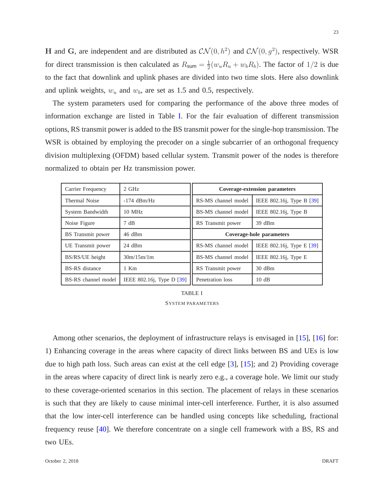H and G, are independent and are distributed as  $CN(0, h^2)$  and  $CN(0, g^2)$ , respectively. WSR for direct transmission is then calculated as  $R_{\text{sum}} = \frac{1}{2}$  $\frac{1}{2}(w_u R_u + w_b R_b)$ . The factor of  $1/2$  is due to the fact that downlink and uplink phases are divided into two time slots. Here also downlink and uplink weights,  $w_u$  and  $w_b$ , are set as 1.5 and 0.5, respectively.

The system parameters used for comparing the performance of the above three modes of information exchange are listed in Table [I.](#page-22-0) For the fair evaluation of different transmission options, RS transmit power is added to the BS transmit power for the single-hop transmission. The WSR is obtained by employing the precoder on a single subcarrier of an orthogonal frequency division multiplexing (OFDM) based cellular system. Transmit power of the nodes is therefore normalized to obtain per Hz transmission power.

| Carrier Frequency        | $2$ GHz                  | <b>Coverage-extension parameters</b> |                                 |
|--------------------------|--------------------------|--------------------------------------|---------------------------------|
| Thermal Noise            | $-174$ dBm/Hz            | RS-MS channel model                  | IEEE 802.16j, Type B [39]       |
| System Bandwidth         | $10$ MHz                 | BS-MS channel model                  | IEEE $802.16$ <i>j</i> , Type B |
| Noise Figure             | 7 dB                     | RS Transmit power                    | 39 dBm                          |
| <b>BS</b> Transmit power | 46 dBm                   | Coverage-hole parameters             |                                 |
| UE Transmit power        | $24$ dBm                 | RS-MS channel model                  | IEEE 802.16j, Type E [39]       |
| BS/RS/UE height          | 30m/15m/1m               | BS-MS channel model                  | IEEE 802.16j, Type E            |
| <b>BS-RS</b> distance    | $1$ Km                   | RS Transmit power                    | $30 \text{ dBm}$                |
| BS-RS channel model      | IEEE 802.16; Type D [39] | Penetration loss                     | 10dB                            |

TABLE I SYSTEM PARAMETERS

<span id="page-22-0"></span>Among other scenarios, the deployment of infrastructure relays is envisaged in [\[15\]](#page-28-11), [\[16\]](#page-28-2) for: 1) Enhancing coverage in the areas where capacity of direct links between BS and UEs is low due to high path loss. Such areas can exist at the cell edge [\[3\]](#page-27-1), [\[15\]](#page-28-11); and 2) Providing coverage in the areas where capacity of direct link is nearly zero e.g., a coverage hole. We limit our study to these coverage-oriented scenarios in this section. The placement of relays in these scenarios is such that they are likely to cause minimal inter-cell interference. Further, it is also assumed that the low inter-cell interference can be handled using concepts like scheduling, fractional frequency reuse [\[40\]](#page-29-15). We therefore concentrate on a single cell framework with a BS, RS and two UEs.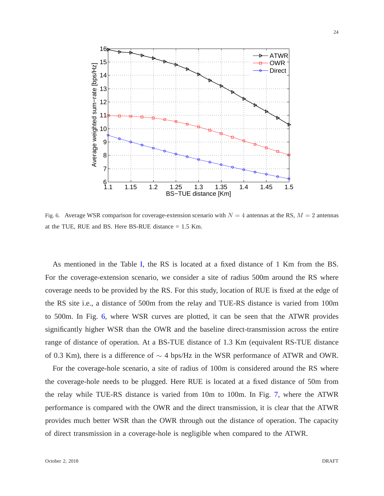

<span id="page-23-0"></span>Fig. 6. Average WSR comparison for coverage-extension scenario with  $N = 4$  antennas at the RS,  $M = 2$  antennas at the TUE, RUE and BS. Here BS-RUE distance = 1.5 Km.

As mentioned in the Table [I,](#page-22-0) the RS is located at a fixed distance of 1 Km from the BS. For the coverage-extension scenario, we consider a site of radius 500m around the RS where coverage needs to be provided by the RS. For this study, location of RUE is fixed at the edge of the RS site i.e., a distance of 500m from the relay and TUE-RS distance is varied from 100m to 500m. In Fig. [6,](#page-23-0) where WSR curves are plotted, it can be seen that the ATWR provides significantly higher WSR than the OWR and the baseline direct-transmission across the entire range of distance of operation. At a BS-TUE distance of 1.3 Km (equivalent RS-TUE distance of 0.3 Km), there is a difference of ∼ 4 bps/Hz in the WSR performance of ATWR and OWR.

For the coverage-hole scenario, a site of radius of 100m is considered around the RS where the coverage-hole needs to be plugged. Here RUE is located at a fixed distance of 50m from the relay while TUE-RS distance is varied from 10m to 100m. In Fig. [7,](#page-24-0) where the ATWR performance is compared with the OWR and the direct transmission, it is clear that the ATWR provides much better WSR than the OWR through out the distance of operation. The capacity of direct transmission in a coverage-hole is negligible when compared to the ATWR.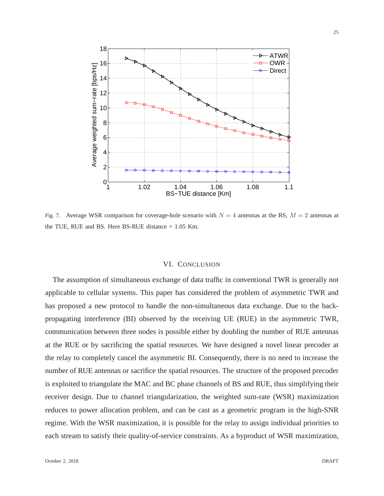

<span id="page-24-0"></span>Fig. 7. Average WSR comparison for coverage-hole scenario with  $N = 4$  antennas at the RS,  $M = 2$  antennas at the TUE, RUE and BS. Here BS-RUE distance = 1.05 Km.

#### VI. CONCLUSION

The assumption of simultaneous exchange of data traffic in conventional TWR is generally not applicable to cellular systems. This paper has considered the problem of asymmetric TWR and has proposed a new protocol to handle the non-simultaneous data exchange. Due to the backpropagating interference (BI) observed by the receiving UE (RUE) in the asymmetric TWR, communication between three nodes is possible either by doubling the number of RUE antennas at the RUE or by sacrificing the spatial resources. We have designed a novel linear precoder at the relay to completely cancel the asymmetric BI. Consequently, there is no need to increase the number of RUE antennas or sacrifice the spatial resources. The structure of the proposed precoder is exploited to triangulate the MAC and BC phase channels of BS and RUE, thus simplifying their receiver design. Due to channel triangularization, the weighted sum-rate (WSR) maximization reduces to power allocation problem, and can be cast as a geometric program in the high-SNR regime. With the WSR maximization, it is possible for the relay to assign individual priorities to each stream to satisfy their quality-of-service constraints. As a byproduct of WSR maximization,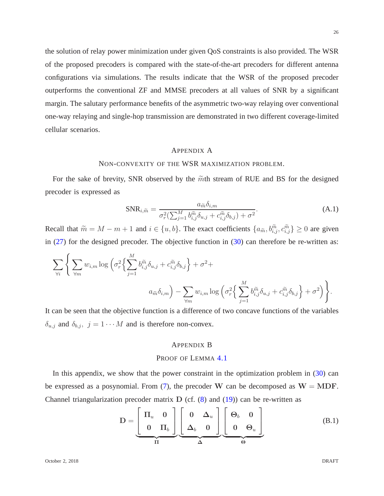the solution of relay power minimization under given QoS constraints is also provided. The WSR of the proposed precoders is compared with the state-of-the-art precoders for different antenna configurations via simulations. The results indicate that the WSR of the proposed precoder outperforms the conventional ZF and MMSE precoders at all values of SNR by a significant margin. The salutary performance benefits of the asymmetric two-way relaying over conventional one-way relaying and single-hop transmission are demonstrated in two different coverage-limited cellular scenarios.

## <span id="page-25-0"></span>APPENDIX A

### NON-CONVEXITY OF THE WSR MAXIMIZATION PROBLEM.

For the sake of brevity, SNR observed by the  $\tilde{m}$ th stream of RUE and BS for the designed precoder is expressed as

$$
SNR_{i,\widetilde{m}} = \frac{a_{\widetilde{m}}\delta_{i,m}}{\sigma_r^2(\sum_{j=1}^M b_{i,j}^{\widetilde{m}}\delta_{u,j} + c_{i,j}^{\widetilde{m}}\delta_{b,j}) + \sigma^2}.
$$
\n(A.1)

Recall that  $\widetilde{m} = M - m + 1$  and  $i \in \{u, b\}$ . The exact coefficients  $\{a_{\widetilde{m}}, b_{i,j}^{\widetilde{m}}, c_{i,j}^{\widetilde{m}}\} \ge 0$  are given in  $(27)$  for the designed precoder. The objective function in  $(30)$  can therefore be re-written as:

$$
\sum_{\forall i} \left\{ \sum_{\forall m} w_{i,m} \log \left( \sigma_r^2 \left\{ \sum_{j=1}^M b_{i,j}^{\widetilde{m}} \delta_{u,j} + c_{i,j}^{\widetilde{m}} \delta_{b,j} \right\} + \sigma^2 + a_{i,m} \log \left( \sigma_r^2 \left\{ \sum_{j=1}^M b_{i,j}^{\widetilde{m}} \delta_{u,j} + c_{i,j}^{\widetilde{m}} \delta_{b,j} \right\} + \sigma^2 \right) \right\}.
$$

It can be seen that the objective function is a difference of two concave functions of the variables  $\delta_{u,j}$  and  $\delta_{b,j}$ ,  $j = 1 \cdots M$  and is therefore non-convex.

## <span id="page-25-1"></span>APPENDIX B

## PROOF OF LEMMA [4.1](#page-15-1)

In this appendix, we show that the power constraint in the optimization problem in [\(30\)](#page-14-1) can be expressed as a posynomial. From [\(7\)](#page-7-3), the precoder W can be decomposed as  $W = MDF$ . Channel triangularization precoder matrix  $D$  (cf.  $(8)$  and  $(19)$ ) can be re-written as

$$
\mathbf{D} = \underbrace{\begin{bmatrix} \Pi_u & 0 \\ 0 & \Pi_b \end{bmatrix}}_{\Pi} \underbrace{\begin{bmatrix} 0 & \Delta_u \\ \Delta_b & 0 \end{bmatrix}}_{\Delta} \underbrace{\begin{bmatrix} \Theta_b & 0 \\ 0 & \Theta_u \end{bmatrix}}_{\Theta} \tag{B.1}
$$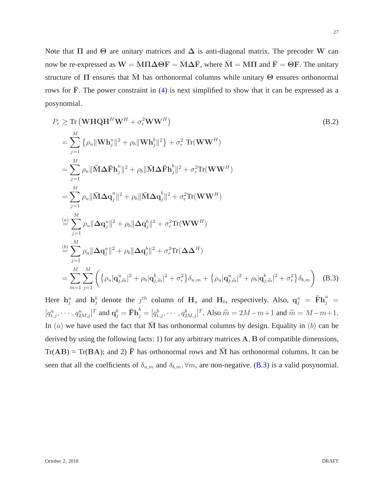Note that  $\Pi$  and  $\Theta$  are unitary matrices and  $\Delta$  is anti-diagonal matrix. The precoder W can now be re-expressed as  $W = M\Pi\Delta\Theta F = \overline{M}\Delta\overline{F}$ , where  $\overline{M} = M\Pi$  and  $\overline{F} = \Theta F$ . The unitary structure of  $\Pi$  ensures that  $\overline{M}$  has orthonormal columns while unitary  $\Theta$  ensures orthonormal rows for  $\overline{F}$ . The power constraint in [\(4\)](#page-7-4) is next simplified to show that it can be expressed as a posynomial.

$$
P_r \ge \text{Tr} \left( \mathbf{W} \mathbf{H} \mathbf{Q} \mathbf{H}^H \mathbf{W}^H + \sigma_r^2 \mathbf{W} \mathbf{W}^H \right)
$$
\n(B.2)  
\n
$$
= \sum_{j=1}^M \left\{ \rho_u \|\mathbf{W} \mathbf{h}_j^u\|^2 + \rho_b \|\mathbf{W} \mathbf{h}_j^b\|^2 \right\} + \sigma_r^2 \text{ Tr}(\mathbf{W} \mathbf{W}^H)
$$
\n
$$
= \sum_{j=1}^M \rho_u \|\bar{\mathbf{M}} \Delta \bar{\mathbf{F}} \mathbf{h}_j^u\|^2 + \rho_b \|\bar{\mathbf{M}} \Delta \bar{\mathbf{F}} \mathbf{h}_j^b\|^2 + \sigma_r^2 \text{Tr}(\mathbf{W} \mathbf{W}^H)
$$
\n
$$
= \sum_{j=1}^M \rho_u \|\bar{\mathbf{M}} \Delta \mathbf{q}_j^u\|^2 + \rho_b \|\bar{\mathbf{M}} \Delta \mathbf{q}_j^b\|^2 + \sigma_r^2 \text{Tr}(\mathbf{W} \mathbf{W}^H)
$$
\n
$$
\stackrel{(a)}{=} \sum_{j=1}^M \rho_u \|\Delta \mathbf{q}_j^u\|^2 + \rho_b \|\Delta \mathbf{q}_j^b\|^2 + \sigma_r^2 \text{Tr}(\mathbf{W} \mathbf{W}^H)
$$
\n
$$
\stackrel{(b)}{=} \sum_{j=1}^M \rho_u \|\Delta \mathbf{q}_j^u\|^2 + \rho_b \|\Delta \mathbf{q}_j^b\|^2 + \sigma_r^2 \text{Tr}(\Delta \Delta^H)
$$
\n
$$
= \sum_{m=1}^M \sum_{j=1}^M \left( \{\rho_u | \mathbf{q}_{j,m}^u|^2 + \rho_b | \mathbf{q}_{j,m}^b|^2 + \sigma_r^2 \} \delta_{u,m} + \{\rho_u | \mathbf{q}_{j,m}^u|^2 + \rho_b | \mathbf{q}_{j,m}^b|^2 + \sigma_r^2 \} \delta_{b,m} \right)
$$
\n(B.3)

<span id="page-26-0"></span>Here  $h_j^u$  and  $h_j^b$  denote the  $j^{th}$  column of  $H_u$  and  $H_b$ , respectively. Also,  $q_j^u = \bar{F}h_j^u =$  $[q_{1,j}^u, \cdots, q_{2M,j}^u]^T$  and  $\mathbf{q}_j^b = \mathbf{\bar{F}} \mathbf{h}_j^b = [q_{1,j}^b, \cdots, q_{2M,j}^b]^T$ . Also  $\widehat{m} = 2M - m + 1$  and  $\widetilde{m} = M - m + 1$ . In  $(a)$  we have used the fact that M has orthonormal columns by design. Equality in  $(b)$  can be derived by using the following facts: 1) for any arbitrary matrices A, B of compatible dimensions,  $Tr(AB) = Tr(BA)$ ; and 2)  $\overline{F}$  has orthonormal rows and  $\overline{M}$  has orthonormal columns. It can be seen that all the coefficients of  $\delta_{u,m}$  and  $\delta_{b,m}$ ,  $\forall m$ , are non-negative. [\(B.3\)](#page-26-0) is a valid posynomial.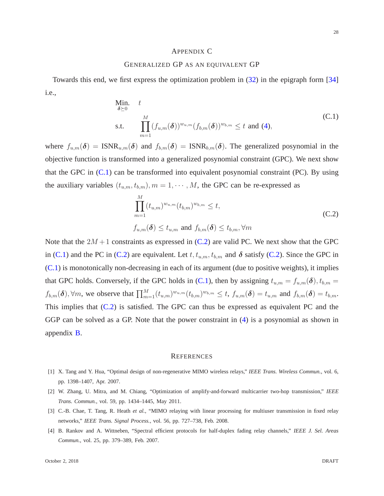### <span id="page-27-3"></span>APPENDIX C

## GENERALIZED GP AS AN EQUIVALENT GP

Towards this end, we first express the optimization problem in [\(32\)](#page-15-0) in the epigraph form [\[34\]](#page-29-9) i.e.,

<span id="page-27-4"></span>Min. t  
\n
$$
\delta \geq 0
$$
\n
$$
\prod_{m=1}^{M} (f_{u,m}(\boldsymbol{\delta}))^{w_{u,m}} (f_{b,m}(\boldsymbol{\delta}))^{w_{b,m}} \leq t \text{ and } (4),
$$
\n(C.1)

where  $f_{u,m}(\delta) = \text{ISNR}_{u,m}(\delta)$  and  $f_{b,m}(\delta) = \text{ISNR}_{b,m}(\delta)$ . The generalized posynomial in the objective function is transformed into a generalized posynomial constraint (GPC). We next show that the GPC in [\(C.1\)](#page-27-4) can be transformed into equivalent posynomial constraint (PC). By using the auxiliary variables  $(t_{u,m}, t_{b,m})$ ,  $m = 1, \cdots, M$ , the GPC can be re-expressed as

<span id="page-27-5"></span>
$$
\prod_{m=1}^{M} (t_{u,m})^{w_{u,m}} (t_{b,m})^{w_{b,m}} \leq t,
$$
\n(C.2)\n
$$
f_{u,m}(\delta) \leq t_{u,m} \text{ and } f_{b,m}(\delta) \leq t_{b,m}, \forall m
$$

Note that the  $2M + 1$  constraints as expressed in [\(C.2\)](#page-27-5) are valid PC. We next show that the GPC in [\(C.1\)](#page-27-4) and the PC in [\(C.2\)](#page-27-5) are equivalent. Let  $t, t_{u,m}, t_{b,m}$  and  $\delta$  satisfy [\(C.2\)](#page-27-5). Since the GPC in  $(C.1)$  is monotonically non-decreasing in each of its argument (due to positive weights), it implies that GPC holds. Conversely, if the GPC holds in [\(C.1\)](#page-27-4), then by assigning  $t_{u,m} = f_{u,m}(\delta)$ ,  $t_{b,m} =$  $f_{b,m}(\boldsymbol{\delta}), \forall m$ , we observe that  $\prod_{m=1}^{M} (t_{u,m})^{w_{u,m}} (t_{b,m})^{w_{b,m}} \leq t$ ,  $f_{u,m}(\boldsymbol{\delta}) = t_{u,m}$  and  $f_{b,m}(\boldsymbol{\delta}) = t_{b,m}$ . This implies that  $(C.2)$  is satisfied. The GPC can thus be expressed as equivalent PC and the GGP can be solved as a GP. Note that the power constraint in [\(4\)](#page-7-4) is a posynomial as shown in appendix [B.](#page-25-1)

#### **REFERENCES**

- <span id="page-27-0"></span>[1] X. Tang and Y. Hua, "Optimal design of non-regenerative MIMO wireless relays," *IEEE Trans. Wireless Commun.*, vol. 6, pp. 1398–1407, Apr. 2007.
- <span id="page-27-1"></span>[2] W. Zhang, U. Mitra, and M. Chiang, "Optimization of amplify-and-forward multicarrier two-hop transmission," *IEEE Trans. Commun.*, vol. 59, pp. 1434–1445, May 2011.
- <span id="page-27-2"></span>[3] C.-B. Chae, T. Tang, R. Heath *et al.*, "MIMO relaying with linear processing for multiuser transmission in fixed relay networks," *IEEE Trans. Signal Process.*, vol. 56, pp. 727–738, Feb. 2008.
- [4] B. Rankov and A. Wittneben, "Spectral efficient protocols for half-duplex fading relay channels," *IEEE J. Sel. Areas Commun.*, vol. 25, pp. 379–389, Feb. 2007.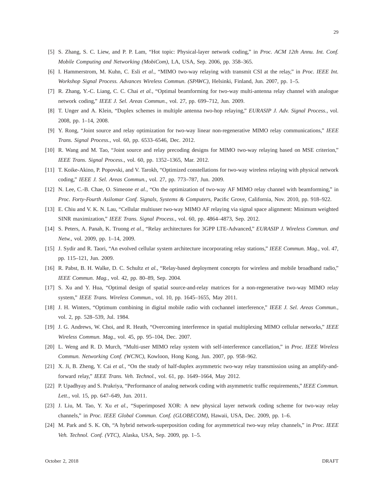- <span id="page-28-3"></span>[5] S. Zhang, S. C. Liew, and P. P. Lam, "Hot topic: Physical-layer network coding," in *Proc. ACM 12th Annu. Int. Conf. Mobile Computing and Networking (MobiCom)*, LA, USA, Sep. 2006, pp. 358–365.
- <span id="page-28-4"></span>[6] I. Hammerstrom, M. Kuhn, C. Esli *et al.*, "MIMO two-way relaying with transmit CSI at the relay," in *Proc. IEEE Int. Workshop Signal Process. Advances Wireless Commun. (SPAWC)*, Helsinki, Finland, Jun. 2007, pp. 1–5.
- <span id="page-28-14"></span>[7] R. Zhang, Y.-C. Liang, C. C. Chai *et al.*, "Optimal beamforming for two-way multi-antenna relay channel with analogue network coding," *IEEE J. Sel. Areas Commun.*, vol. 27, pp. 699–712, Jun. 2009.
- <span id="page-28-5"></span>[8] T. Unger and A. Klein, "Duplex schemes in multiple antenna two-hop relaying," *EURASIP J. Adv. Signal Process.*, vol. 2008, pp. 1–14, 2008.
- <span id="page-28-7"></span>[9] Y. Rong, "Joint source and relay optimization for two-way linear non-regenerative MIMO relay communications," *IEEE Trans. Signal Process.*, vol. 60, pp. 6533–6546, Dec. 2012.
- [10] R. Wang and M. Tao, "Joint source and relay precoding designs for MIMO two-way relaying based on MSE criterion," *IEEE Trans. Signal Process.*, vol. 60, pp. 1352–1365, Mar. 2012.
- <span id="page-28-6"></span>[11] T. Koike-Akino, P. Popovski, and V. Tarokh, "Optimized constellations for two-way wireless relaying with physical network coding," *IEEE J. Sel. Areas Commun.*, vol. 27, pp. 773–787, Jun. 2009.
- <span id="page-28-0"></span>[12] N. Lee, C.-B. Chae, O. Simeone *et al.*, "On the optimization of two-way AF MIMO relay channel with beamforming," in *Proc. Forty-Fourth Asilomar Conf. Signals, Systems & Computers*, Pacific Grove, California, Nov. 2010, pp. 918–922.
- <span id="page-28-1"></span>[13] E. Chiu and V. K. N. Lau, "Cellular multiuser two-way MIMO AF relaying via signal space alignment: Minimum weighted SINR maximization," *IEEE Trans. Signal Process.*, vol. 60, pp. 4864–4873, Sep. 2012.
- <span id="page-28-11"></span>[14] S. Peters, A. Panah, K. Truong *et al.*, "Relay architectures for 3GPP LTE-Advanced," *EURASIP J. Wireless Commun. and Netw.*, vol. 2009, pp. 1–14, 2009.
- <span id="page-28-2"></span>[15] J. Sydir and R. Taori, "An evolved cellular system architecture incorporating relay stations," *IEEE Commun. Mag.*, vol. 47, pp. 115–121, Jun. 2009.
- <span id="page-28-8"></span>[16] R. Pabst, B. H. Walke, D. C. Schultz *et al.*, "Relay-based deployment concepts for wireless and mobile broadband radio," *IEEE Commun. Mag.*, vol. 42, pp. 80–89, Sep. 2004.
- <span id="page-28-9"></span>[17] S. Xu and Y. Hua, "Optimal design of spatial source-and-relay matrices for a non-regenerative two-way MIMO relay system," *IEEE Trans. Wireless Commun.*, vol. 10, pp. 1645–1655, May 2011.
- <span id="page-28-10"></span>[18] J. H. Winters, "Optimum combining in digital mobile radio with cochannel interference," *IEEE J. Sel. Areas Commun.*, vol. 2, pp. 528–539, Jul. 1984.
- <span id="page-28-12"></span>[19] J. G. Andrews, W. Choi, and R. Heath, "Overcoming interference in spatial multiplexing MIMO cellular networks," *IEEE Wireless Commun. Mag.*, vol. 45, pp. 95–104, Dec. 2007.
- <span id="page-28-13"></span>[20] L. Weng and R. D. Murch, "Multi-user MIMO relay system with self-interference cancellation," in *Proc. IEEE Wireless Commun. Networking Conf. (WCNC)*, Kowloon, Hong Kong, Jun. 2007, pp. 958–962.
- [21] X. Ji, B. Zheng, Y. Cai *et al.*, "On the study of half-duplex asymmetric two-way relay transmission using an amplify-andforward relay," *IEEE Trans. Veh. Technol.*, vol. 61, pp. 1649–1664, May 2012.
- [22] P. Upadhyay and S. Prakriya, "Performance of analog network coding with asymmetric traffic requirements," *IEEE Commun. Lett.*, vol. 15, pp. 647–649, Jun. 2011.
- [23] J. Liu, M. Tao, Y. Xu *et al.*, "Superimposed XOR: A new physical layer network coding scheme for two-way relay channels," in *Proc. IEEE Global Commun. Conf. (GLOBECOM)*, Hawaii, USA, Dec. 2009, pp. 1–6.
- [24] M. Park and S. K. Oh, "A hybrid network-superposition coding for asymmetrical two-way relay channels," in *Proc. IEEE Veh. Technol. Conf. (VTC)*, Alaska, USA, Sep. 2009, pp. 1–5.